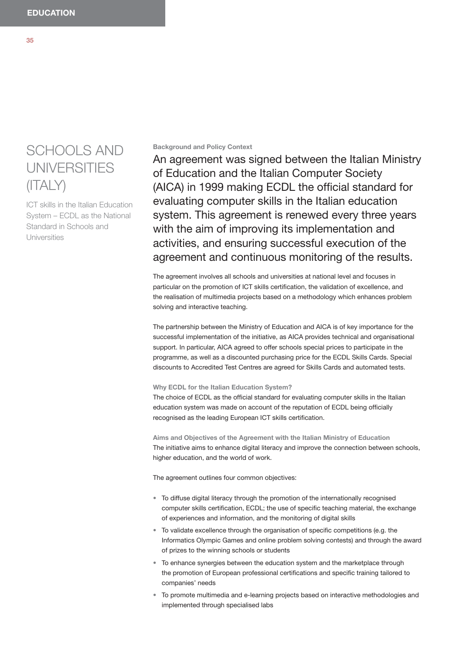# SCHOOLS AND UNIVERSITIES (ITALY)

ICT skills in the Italian Education System – ECDL as the National Standard in Schools and Universities

## **Background and Policy Context**

An agreement was signed between the Italian Ministry of Education and the Italian Computer Society (AICA) in 1999 making ECDL the official standard for evaluating computer skills in the Italian education system. This agreement is renewed every three years with the aim of improving its implementation and activities, and ensuring successful execution of the agreement and continuous monitoring of the results.

The agreement involves all schools and universities at national level and focuses in particular on the promotion of ICT skills certification, the validation of excellence, and the realisation of multimedia projects based on a methodology which enhances problem solving and interactive teaching.

The partnership between the Ministry of Education and AICA is of key importance for the successful implementation of the initiative, as AICA provides technical and organisational support. In particular, AICA agreed to offer schools special prices to participate in the programme, as well as a discounted purchasing price for the ECDL Skills Cards. Special discounts to Accredited Test Centres are agreed for Skills Cards and automated tests.

## **Why ECDL for the Italian Education System?**

The choice of ECDL as the official standard for evaluating computer skills in the Italian education system was made on account of the reputation of ECDL being officially recognised as the leading European ICT skills certification.

**Aims and Objectives of the Agreement with the Italian Ministry of Education** The initiative aims to enhance digital literacy and improve the connection between schools, higher education, and the world of work.

The agreement outlines four common objectives:

- To diffuse digital literacy through the promotion of the internationally recognised computer skills certification, ECDL; the use of specific teaching material, the exchange of experiences and information, and the monitoring of digital skills
- To validate excellence through the organisation of specific competitions (e.g. the Informatics Olympic Games and online problem solving contests) and through the award of prizes to the winning schools or students
- To enhance synergies between the education system and the marketplace through the promotion of European professional certifications and specific training tailored to companies' needs
- $\bullet$  To promote multimedia and e-learning projects based on interactive methodologies and implemented through specialised labs